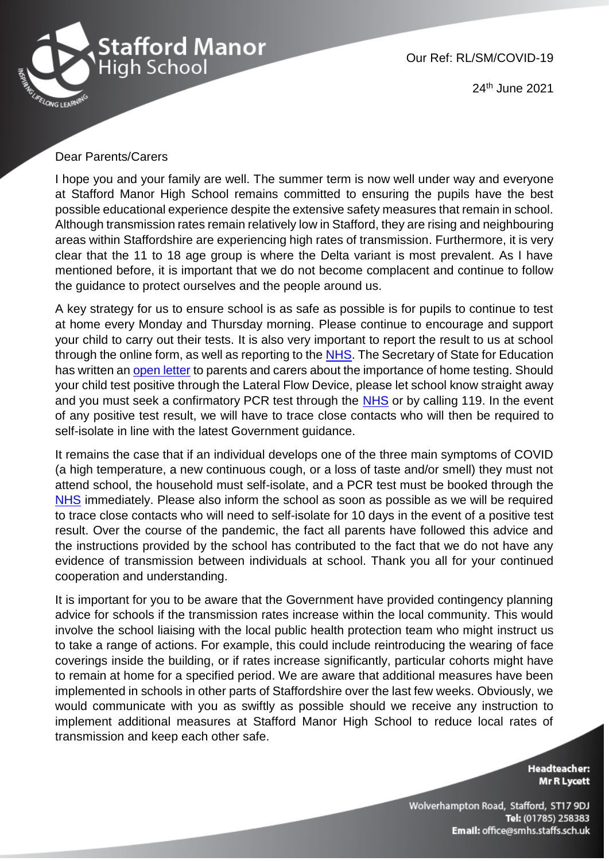

24th June 2021

## Dear Parents/Carers

I hope you and your family are well. The summer term is now well under way and everyone at Stafford Manor High School remains committed to ensuring the pupils have the best possible educational experience despite the extensive safety measures that remain in school. Although transmission rates remain relatively low in Stafford, they are rising and neighbouring areas within Staffordshire are experiencing high rates of transmission. Furthermore, it is very clear that the 11 to 18 age group is where the Delta variant is most prevalent. As I have mentioned before, it is important that we do not become complacent and continue to follow the guidance to protect ourselves and the people around us.

A key strategy for us to ensure school is as safe as possible is for pupils to continue to test at home every Monday and Thursday morning. Please continue to encourage and support your child to carry out their tests. It is also very important to report the result to us at school through the online form, as well as reporting to the [NHS.](https://www.gov.uk/report-covid19-result) The Secretary of State for Education has written an [open letter](https://dfemedia.blog.gov.uk/2021/06/18/a-letter-to-secondary-school-and-college-parents-in-england-on-continuing-regular-covid-19-testing-from-gavin-williamson-secretary-of-state-for-education/?utm_source=18%20June%202021%20C19&utm_medium=Daily%20Email%20C19&utm_campaign=DfE%20C19) to parents and carers about the importance of home testing. Should your child test positive through the Lateral Flow Device, please let school know straight away and you must seek a confirmatory PCR test through the [NHS](https://www.gov.uk/get-coronavirus-test) or by calling 119. In the event of any positive test result, we will have to trace close contacts who will then be required to self-isolate in line with the latest Government guidance.

It remains the case that if an individual develops one of the three main symptoms of COVID (a high temperature, a new continuous cough, or a loss of taste and/or smell) they must not attend school, the household must self-isolate, and a PCR test must be booked through the [NHS](https://www.gov.uk/get-coronavirus-test) immediately. Please also inform the school as soon as possible as we will be required to trace close contacts who will need to self-isolate for 10 days in the event of a positive test result. Over the course of the pandemic, the fact all parents have followed this advice and the instructions provided by the school has contributed to the fact that we do not have any evidence of transmission between individuals at school. Thank you all for your continued cooperation and understanding.

It is important for you to be aware that the Government have provided contingency planning advice for schools if the transmission rates increase within the local community. This would involve the school liaising with the local public health protection team who might instruct us to take a range of actions. For example, this could include reintroducing the wearing of face coverings inside the building, or if rates increase significantly, particular cohorts might have to remain at home for a specified period. We are aware that additional measures have been implemented in schools in other parts of Staffordshire over the last few weeks. Obviously, we would communicate with you as swiftly as possible should we receive any instruction to implement additional measures at Stafford Manor High School to reduce local rates of transmission and keep each other safe.

> **Headteacher:** Mr R Lycett

Wolverhampton Road, Stafford, ST17 9DJ Tel: (01785) 258383 Email: office@smhs.staffs.sch.uk